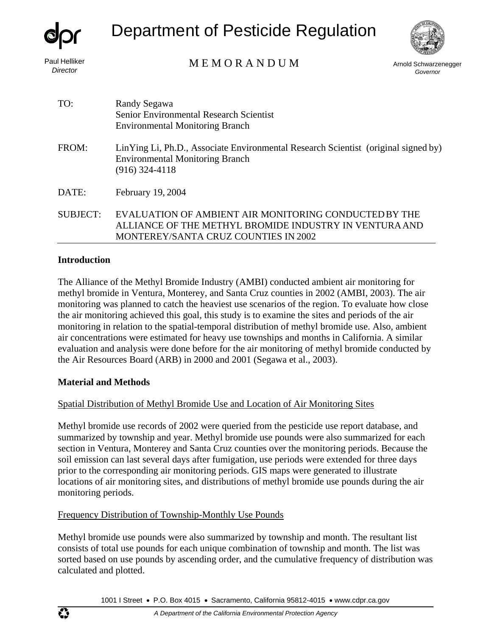

# Department of Pesticide Regulation



# *Director* Arnold Schwarzenegger M E M O R A N D U M

*Governor*

| TO:             | Randy Segawa<br>Senior Environmental Research Scientist<br><b>Environmental Monitoring Branch</b>                                                       |
|-----------------|---------------------------------------------------------------------------------------------------------------------------------------------------------|
| FROM:           | LinYing Li, Ph.D., Associate Environmental Research Scientist (original signed by)<br><b>Environmental Monitoring Branch</b><br>$(916)$ 324-4118        |
| DATE:           | February 19, 2004                                                                                                                                       |
| <b>SUBJECT:</b> | EVALUATION OF AMBIENT AIR MONITORING CONDUCTED BY THE<br>ALLIANCE OF THE METHYL BROMIDE INDUSTRY IN VENTURA AND<br>MONTEREY/SANTA CRUZ COUNTIES IN 2002 |

#### **Introduction**

The Alliance of the Methyl Bromide Industry (AMBI) conducted ambient air monitoring for methyl bromide in Ventura, Monterey, and Santa Cruz counties in 2002 (AMBI, 2003). The air monitoring was planned to catch the heaviest use scenarios of the region. To evaluate how close the air monitoring achieved this goal, this study is to examine the sites and periods of the air monitoring in relation to the spatial-temporal distribution of methyl bromide use. Also, ambient air concentrations were estimated for heavy use townships and months in California. A similar evaluation and analysis were done before for the air monitoring of methyl bromide conducted by the Air Resources Board (ARB) in 2000 and 2001 (Segawa et al., 2003).

#### **Material and Methods**

# Spatial Distribution of Methyl Bromide Use and Location of Air Monitoring Sites

Methyl bromide use records of 2002 were queried from the pesticide use report database, and summarized by township and year. Methyl bromide use pounds were also summarized for each section in Ventura, Monterey and Santa Cruz counties over the monitoring periods. Because the soil emission can last several days after fumigation, use periods were extended for three days prior to the corresponding air monitoring periods. GIS maps were generated to illustrate locations of air monitoring sites, and distributions of methyl bromide use pounds during the air monitoring periods.

# Frequency Distribution of Township-Monthly Use Pounds

Methyl bromide use pounds were also summarized by township and month. The resultant list consists of total use pounds for each unique combination of township and month. The list was sorted based on use pounds by ascending order, and the cumulative frequency of distribution wa s calculated and plotted.

1001 I Street • P.O. Box 4015 • Sacramento, California 95812-4015 • [www.cdpr.ca.gov](http://www.cdpr.ca.gov/)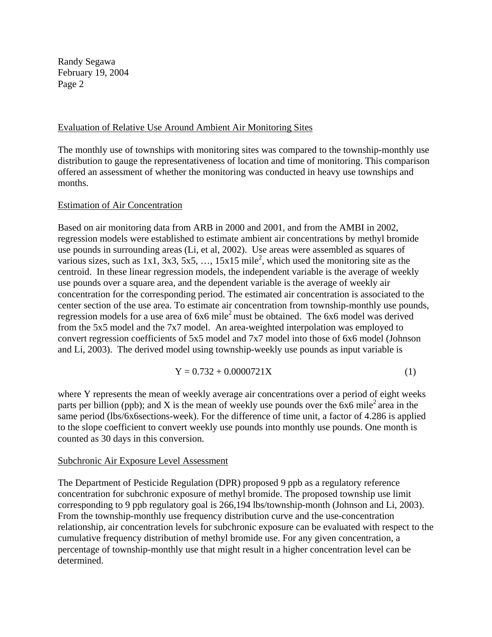#### Evaluation of Relative Use Around Ambient Air Monitoring Sites

The monthly use of townships with monitoring sites was compared to the township-monthly use distribution to gauge the representativeness of location and time of monitoring. This comparison offered an assessment of whether the monitoring was conducted in heavy use townships and months.

#### Estimation of Air Concentration

Based on air monitoring data from ARB in 2000 and 2001, and from the AMBI in 2002, regression models were established to estimate ambient air concentrations by methyl bromide use pounds in surrounding areas (Li, et al, 2002). Use areas were assembled as squares of various sizes, such as  $1x1$ ,  $3x3$ ,  $5x5$ , ...,  $15x15$  mile<sup>2</sup>, which used the monitoring site as the centroid. In these linear regression models, the independent variable is the average of weekly use pounds over a square area, and the dependent variable is the average of weekly air concentration for the corresponding period. The estimated air concentration is associated to the center section of the use area. To estimate air concentration from township-monthly use pounds, regression models for a use area of 6x6 mile<sup>2</sup> must be obtained. The 6x6 model was derived from the 5x5 model and the 7x7 model. An area-weighted interpolation was employed to convert regression coefficients of 5x5 model and 7x7 model into those of 6x6 model (Johnson and Li, 2003). The derived model using township-weekly use pounds as input variable is

$$
Y = 0.732 + 0.0000721X\tag{1}
$$

where Y represents the mean of weekly average air concentrations over a period of eight weeks parts per billion (ppb); and X is the mean of weekly use pounds over the  $6x6$  mile<sup>2</sup> area in the same period (lbs/6x6sections-week). For the difference of time unit, a factor of 4.286 is applied to the slope coefficient to convert weekly use pounds into monthly use pounds. One month is counted as 30 days in this conversion.

#### Subchronic Air Exposure Level Assessment

The Department of Pesticide Regulation (DPR) proposed 9 ppb as a regulatory reference concentration for subchronic exposure of methyl bromide. The proposed township use limit corresponding to 9 ppb regulatory goal is 266,194 lbs/township-month (Johnson and Li, 2003). From the township-monthly use frequency distribution curve and the use-concentration relationship, air concentration levels for subchronic exposure can be evaluated with respect to the cumulative frequency distribution of methyl bromide use. For any given concentration, a percentage of township-monthly use that might result in a higher concentration level can be determined.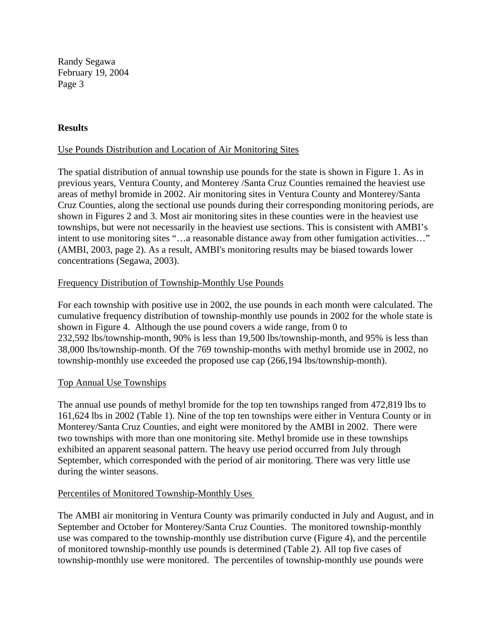#### **Results**

#### Use Pounds Distribution and Location of Air Monitoring Sites

The spatial distribution of annual township use pounds for the state is shown in Figure 1. As in previous years, Ventura County, and Monterey /Santa Cruz Counties remained the heaviest use areas of methyl bromide in 2002. Air monitoring sites in Ventura County and Monterey/Santa Cruz Counties, along the sectional use pounds during their corresponding monitoring periods, are shown in Figures 2 and 3. Most air monitoring sites in these counties were in the heaviest use townships, but were not necessarily in the heaviest use sections. This is consistent with AMBI's intent to use monitoring sites "…a reasonable distance away from other fumigation activities…" (AMBI, 2003, page 2). As a result, AMBI's monitoring results may be biased towards lower concentrations (Segawa, 2003).

#### Frequency Distribution of Township-Monthly Use Pounds

For each township with positive use in 2002, the use pounds in each month were calculated. The cumulative frequency distribution of township-monthly use pounds in 2002 for the whole state is shown in Figure 4. Although the use pound covers a wide range, from 0 to 232,592 lbs/township-month, 90% is less than 19,500 lbs/township-month, and 95% is less than 38,000 lbs/township-month. Of the 769 township-months with methyl bromide use in 2002, no township-monthly use exceeded the proposed use cap (266,194 lbs/township-month).

#### Top Annual Use Townships

The annual use pounds of methyl bromide for the top ten townships ranged from 472,819 lbs to 161,624 lbs in 2002 (Table 1). Nine of the top ten townships were either in Ventura County or in Monterey/Santa Cruz Counties, and eight were monitored by the AMBI in 2002. There were two townships with more than one monitoring site. Methyl bromide use in these townships exhibited an apparent seasonal pattern. The heavy use period occurred from July through September, which corresponded with the period of air monitoring. There was very little use during the winter seasons.

#### Percentiles of Monitored Township-Monthly Uses

The AMBI air monitoring in Ventura County was primarily conducted in July and August, and in September and October for Monterey/Santa Cruz Counties. The monitored township-monthly use was compared to the township-monthly use distribution curve (Figure 4), and the percentile of monitored township-monthly use pounds is determined (Table 2). All top five cases of township-monthly use were monitored. The percentiles of township-monthly use pounds were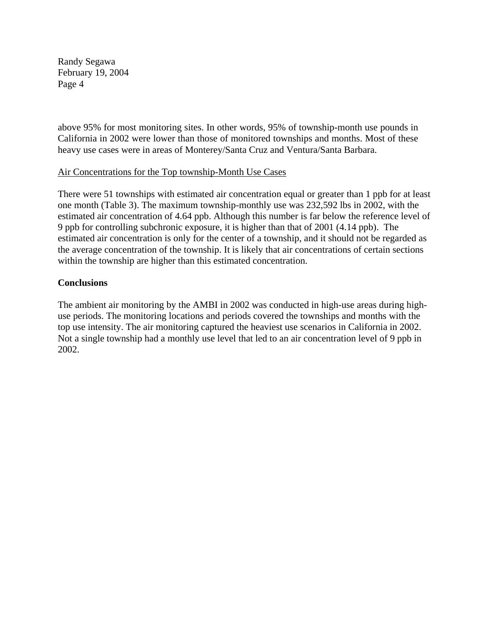above 95% for most monitoring sites. In other words, 95% of township-month use pounds in California in 2002 were lower than those of monitored townships and months. Most of these heavy use cases were in areas of Monterey/Santa Cruz and Ventura/Santa Barbara.

#### Air Concentrations for the Top township-Month Use Cases

There were 51 townships with estimated air concentration equal or greater than 1 ppb for at least one month (Table 3). The maximum township-monthly use was 232,592 lbs in 2002, with the estimated air concentration of 4.64 ppb. Although this number is far below the reference level of 9 ppb for controlling subchronic exposure, it is higher than that of 2001 (4.14 ppb). The estimated air concentration is only for the center of a township, and it should not be regarded as the average concentration of the township. It is likely that air concentrations of certain sections within the township are higher than this estimated concentration.

#### **Conclusions**

The ambient air monitoring by the AMBI in 2002 was conducted in high-use areas during highuse periods. The monitoring locations and periods covered the townships and months with the top use intensity. The air monitoring captured the heaviest use scenarios in California in 2002. Not a single township had a monthly use level that led to an air concentration level of 9 ppb in 2002.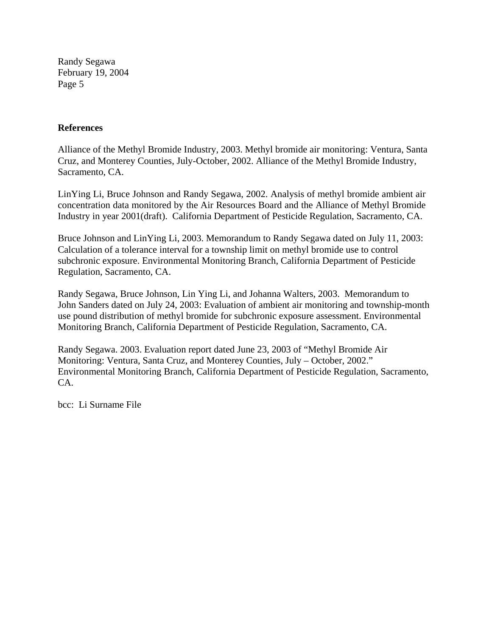### **References**

Alliance of the Methyl Bromide Industry, 2003. Methyl bromide air monitoring: Ventura, Santa Cruz, and Monterey Counties, July-October, 2002. Alliance of the Methyl Bromide Industry, Sacramento, CA.

LinYing Li, Bruce Johnson and Randy Segawa, 2002. Analysis of methyl bromide ambient air concentration data monitored by the Air Resources Board and the Alliance of Methyl Bromide Industry in year 2001(draft). California Department of Pesticide Regulation, Sacramento, CA.

Bruce Johnson and LinYing Li, 2003. Memorandum to Randy Segawa dated on July 11, 2003: Calculation of a tolerance interval for a township limit on methyl bromide use to control subchronic exposure. Environmental Monitoring Branch, California Department of Pesticide Regulation, Sacramento, CA.

Randy Segawa, Bruce Johnson, Lin Ying Li, and Johanna Walters, 2003. Memorandum to John Sanders dated on July 24, 2003: Evaluation of ambient air monitoring and township-month use pound distribution of methyl bromide for subchronic exposure assessment. Environmental Monitoring Branch, California Department of Pesticide Regulation, Sacramento, CA.

Randy Segawa. 2003. Evaluation report dated June 23, 2003 of "Methyl Bromide Air Monitoring: Ventura, Santa Cruz, and Monterey Counties, July – October, 2002." Environmental Monitoring Branch, California Department of Pesticide Regulation, Sacramento, CA.

bcc: Li Surname File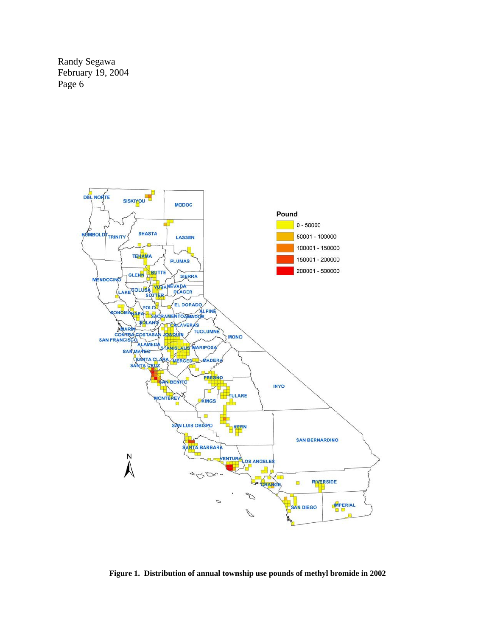

**Figure 1. Distribution of annual township use pounds of methyl bromide in 2002**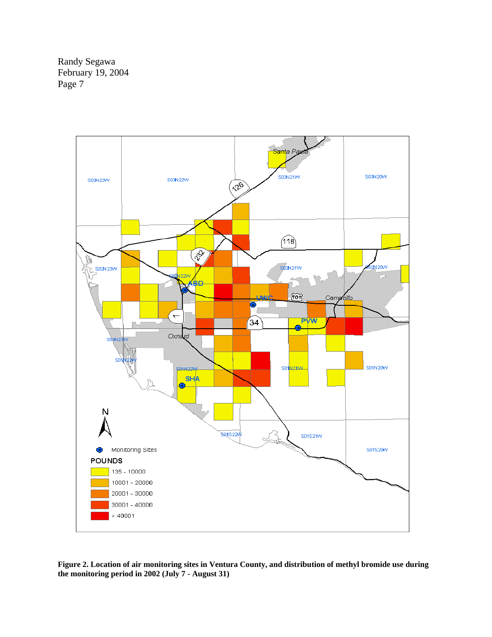

**Figure 2. Location of air monitoring sites in Ventura County, and distribution of methyl bromide use during the monitoring period in 2002 (July 7 - August 31)**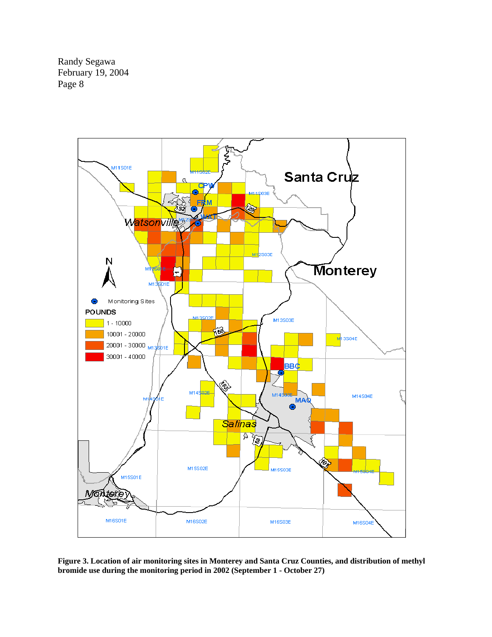

**Figure 3. Location of air monitoring sites in Monterey and Santa Cruz Counties, and distribution of methyl bromide use during the monitoring period in 2002 (September 1 - October 27)**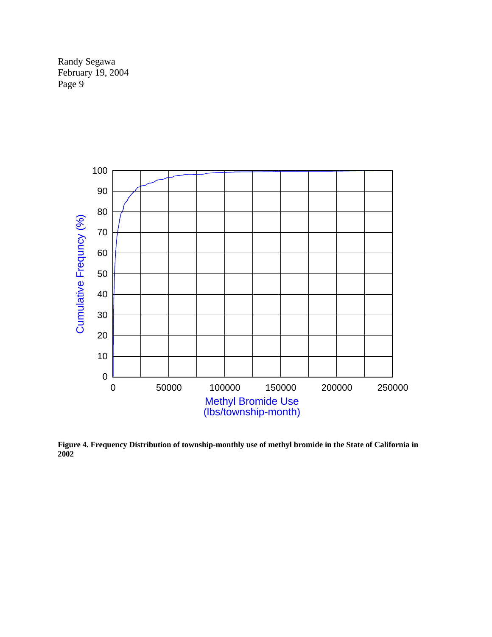

**Figure 4. Frequency Distribution of township-monthly use of methyl bromide in the State of California in 2002**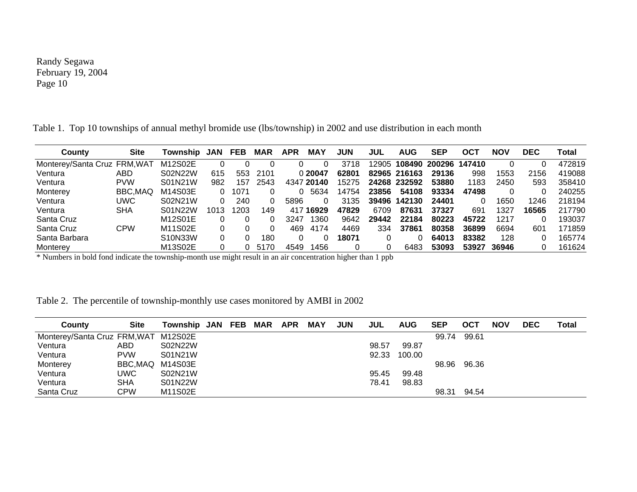| County                       | <b>Site</b> | Township | JAN  | FEB  | <b>MAR</b> | <b>APR</b> | <b>MAY</b> | JUN   | JUL   | <b>AUG</b>   | SEP    | OC1    | <b>NOV</b> | DEC   | Total  |
|------------------------------|-------------|----------|------|------|------------|------------|------------|-------|-------|--------------|--------|--------|------------|-------|--------|
| Monterey/Santa Cruz FRM, WAT |             | M12S02E  |      |      |            |            |            | 3718  | 12905 | 108490       | 200296 | 147410 |            |       | 472819 |
| Ventura                      | ABD         | S02N22W  | 615  | 553  | 2101       |            | 0 20047    | 62801 |       | 82965 216163 | 29136  | 998    | 1553       | 2156  | 419088 |
| Ventura                      | <b>PVW</b>  | S01N21W  | 982  | 157  | 2543       |            | 4347 20140 | 15275 |       | 24268 232592 | 53880  | 1183   | 2450       | 593   | 358410 |
| Monterey                     | BBC, MAQ    | M14S03E  |      | 1071 |            | 0          | 5634       | 14754 | 23856 | 54108        | 93334  | 47498  |            |       | 240255 |
| Ventura                      | UWC         | S02N21W  |      | 240  | 0          | 5896       |            | 3135  | 39496 | 142130       | 24401  |        | 1650       | 1246  | 218194 |
| Ventura                      | <b>SHA</b>  | S01N22W  | 1013 | 1203 | 149        | 417        | 16929      | 47829 | 6709  | 87631        | 37327  | 691    | 1327       | 16565 | 217790 |
| Santa Cruz                   |             | M12S01E  |      |      |            | 3247       | 1360       | 9642  | 29442 | 22184        | 80223  | 45722  | 1217       |       | 193037 |
| Santa Cruz                   | <b>CPW</b>  | M11S02E  |      |      | 0          | 469        | 4174       | 4469  | 334   | 37861        | 80358  | 36899  | 6694       | 601   | 171859 |
| Santa Barbara                |             | S10N33W  |      |      | 180        |            |            | 18071 |       |              | 64013  | 83382  | 128        |       | 165774 |
| Monterev                     |             | M13S02E  |      |      | 5170       | 4549       | 1456       |       |       | 6483         | 53093  | 53927  | 36946      |       | 161624 |

Table 1. Top 10 townships of annual methyl bromide use (lbs/township) in 2002 and use distribution in each month

\* Numbers in bold fond indicate the township-month use might result in an air concentration higher than 1 ppb

| County                               | <b>Site</b> | Township JAN FEB |  | <b>MAR</b> | <b>APR</b> | <b>MAY</b> | <b>JUN</b> | <b>JUL</b> | <b>AUG</b> | <b>SEP</b> | OCT   | <b>NOV</b> | DEC | Total |
|--------------------------------------|-------------|------------------|--|------------|------------|------------|------------|------------|------------|------------|-------|------------|-----|-------|
| Monterey/Santa Cruz FRM, WAT M12S02E |             |                  |  |            |            |            |            |            |            | 99.74      | 99.61 |            |     |       |
| Ventura                              | ABD         | S02N22W          |  |            |            |            |            | 98.57      | 99.87      |            |       |            |     |       |
| Ventura                              | <b>PVW</b>  | S01N21W          |  |            |            |            |            | 92.33      | 100.00     |            |       |            |     |       |
| Monterey                             | BBC,MAQ     | M14S03E          |  |            |            |            |            |            |            | 98.96      | 96.36 |            |     |       |
| Ventura                              | UWC         | S02N21W          |  |            |            |            |            | 95.45      | 99.48      |            |       |            |     |       |
| Ventura                              | <b>SHA</b>  | S01N22W          |  |            |            |            |            | 78.41      | 98.83      |            |       |            |     |       |
| Santa Cruz                           | <b>CPW</b>  | M11S02E          |  |            |            |            |            |            |            | 98.31      | 94.54 |            |     |       |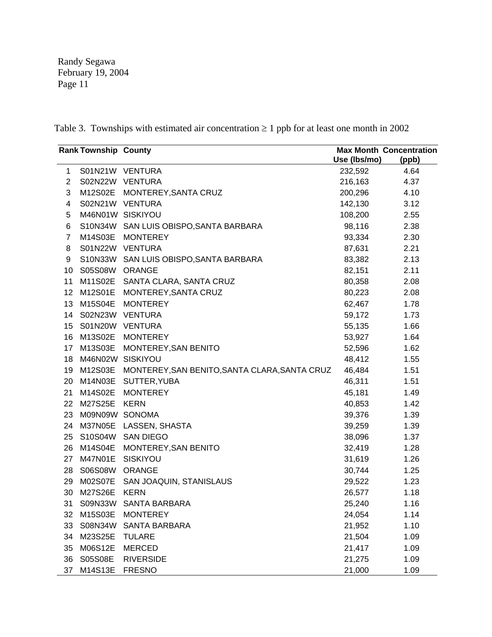Table 3. Townships with estimated air concentration  $\geq 1$  ppb for at least one month in 2002

| <b>Rank Township County</b> |                  |                                                       | <b>Max Month Concentration</b> |       |  |  |
|-----------------------------|------------------|-------------------------------------------------------|--------------------------------|-------|--|--|
|                             |                  |                                                       | Use (Ibs/mo)                   | (ppb) |  |  |
| $\mathbf{1}$                |                  | S01N21W VENTURA                                       | 232,592                        | 4.64  |  |  |
| $\overline{2}$              |                  | S02N22W VENTURA                                       | 216,163                        | 4.37  |  |  |
| 3                           |                  | M12S02E MONTEREY, SANTA CRUZ                          | 200,296                        | 4.10  |  |  |
| 4                           |                  | S02N21W VENTURA                                       | 142,130                        | 3.12  |  |  |
| 5                           |                  | M46N01W SISKIYOU                                      | 108,200                        | 2.55  |  |  |
| 6                           |                  | S10N34W SAN LUIS OBISPO, SANTA BARBARA                | 98,116                         | 2.38  |  |  |
| $\overline{7}$              |                  | M14S03E MONTEREY                                      | 93,334                         | 2.30  |  |  |
| 8                           |                  | S01N22W VENTURA                                       | 87,631                         | 2.21  |  |  |
| 9                           |                  | S10N33W SAN LUIS OBISPO, SANTA BARBARA                | 83,382                         | 2.13  |  |  |
| 10                          | S05S08W ORANGE   |                                                       | 82,151                         | 2.11  |  |  |
| 11                          |                  | M11S02E SANTA CLARA, SANTA CRUZ                       | 80,358                         | 2.08  |  |  |
| 12                          |                  | M12S01E MONTEREY, SANTA CRUZ                          | 80,223                         | 2.08  |  |  |
| 13                          |                  | M15S04E MONTEREY                                      | 62,467                         | 1.78  |  |  |
| 14                          |                  | S02N23W VENTURA                                       | 59,172                         | 1.73  |  |  |
| 15                          | S01N20W VENTURA  |                                                       | 55,135                         | 1.66  |  |  |
| 16                          |                  | M13S02E MONTEREY                                      | 53,927                         | 1.64  |  |  |
| 17                          | M13S03E          | MONTEREY, SAN BENITO                                  | 52,596                         | 1.62  |  |  |
| 18                          | M46N02W SISKIYOU |                                                       | 48,412                         | 1.55  |  |  |
| 19                          |                  | M12S03E MONTEREY, SAN BENITO, SANTA CLARA, SANTA CRUZ | 46,484                         | 1.51  |  |  |
|                             |                  | 20 M14N03E SUTTER, YUBA                               | 46,311                         | 1.51  |  |  |
| 21                          |                  | M14S02E MONTEREY                                      | 45,181                         | 1.49  |  |  |
| 22                          | M27S25E          | <b>KERN</b>                                           | 40,853                         | 1.42  |  |  |
| 23                          | M09N09W SONOMA   |                                                       | 39,376                         | 1.39  |  |  |
| 24                          |                  | M37N05E LASSEN, SHASTA                                | 39,259                         | 1.39  |  |  |
| 25                          |                  | S10S04W SAN DIEGO                                     | 38,096                         | 1.37  |  |  |
|                             |                  | 26 M14S04E MONTEREY, SAN BENITO                       | 32,419                         | 1.28  |  |  |
| 27                          | M47N01E SISKIYOU |                                                       | 31,619                         | 1.26  |  |  |
| 28                          | S06S08W ORANGE   |                                                       | 30,744                         | 1.25  |  |  |
| 29                          |                  | M02S07E SAN JOAQUIN, STANISLAUS                       | 29,522                         | 1.23  |  |  |
| 30                          | M27S26E          | <b>KERN</b>                                           | 26,577                         | 1.18  |  |  |
| 31                          |                  | S09N33W SANTA BARBARA                                 | 25,240                         | 1.16  |  |  |
| 32                          | M15S03E          | <b>MONTEREY</b>                                       | 24,054                         | 1.14  |  |  |
| 33                          | S08N34W          | <b>SANTA BARBARA</b>                                  | 21,952                         | 1.10  |  |  |
| 34                          | M23S25E          | <b>TULARE</b>                                         | 21,504                         | 1.09  |  |  |
| 35                          | M06S12E          | <b>MERCED</b>                                         | 21,417                         | 1.09  |  |  |
| 36                          | S05S08E          | <b>RIVERSIDE</b>                                      | 21,275                         | 1.09  |  |  |
| 37                          | M14S13E          | <b>FRESNO</b>                                         | 21,000                         | 1.09  |  |  |